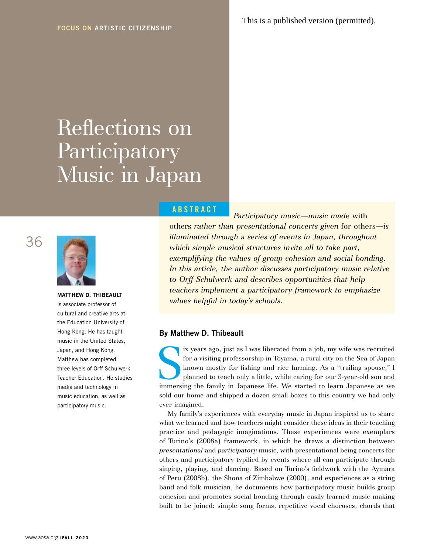# Reflections on **Participatory** Music in Japan





**MATTHEW D. THIBEAULT** is associate professor of cultural and creative arts at the Education University of Hong Kong. He has taught music in the United States, Japan, and Hong Kong. Matthew has completed three levels of Orff Schulwerk Teacher Education. He studies media and technology in music education, as well as participatory music.

# **ABSTRACT**

*Participatory music—music made* with others *rather than presentational concerts given* for others*—is illuminated through a series of events in Japan, throughout which simple musical structures invite all to take part, exemplifying the values of group cohesion and social bonding.*  In this article, the author discusses participatory music relative *to Orff Schulwerk and describes opportunities that help teachers implement a participatory framework to emphasize values helpful in today's schools.* 

# **By Matthew D. Thibeault**

ix years ago, just as I was liberated from a job, my wife was recruited for a visiting professorship in Toyama, a rural city on the Sea of Japan known mostly for fishing and rice farming. As a "trailing spouse," I planned ix years ago, just as I was liberated from a job, my wife was recruited for a visiting professorship in Toyama, a rural city on the Sea of Japan known mostly for fishing and rice farming. As a "trailing spouse," I planned to teach only a little, while caring for our 3-year-old son and sold our home and shipped a dozen small boxes to this country we had only ever imagined.

My family's experiences with everyday music in Japan inspired us to share what we learned and how teachers might consider these ideas in their teaching practice and pedagogic imaginations. These experiences were exemplars of Turino's (2008a) framework, in which he draws a distinction between *presentational* and *participatory* music, with presentational being concerts for others and participatory typified by events where all can participate through singing, playing, and dancing. Based on Turino's fieldwork with the Aymara of Peru (2008b), the Shona of Zimbabwe (2000), and experiences as a string band and folk musician, he documents how participatory music builds group cohesion and promotes social bonding through easily learned music making built to be joined: simple song forms, repetitive vocal choruses, chords that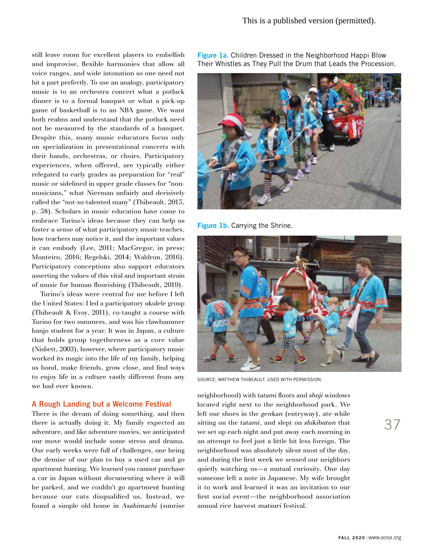still leave room for excellent players to embellish and improvise, flexible harmonies that allow all voice ranges, and wide intonation so one need not hit a part perfectly. To use an analogy, participatory music is to an orchestra concert what a potluck dinner is to a formal banquet or what a pick-up game of basketball is to an NBA game. We want both realms and understand that the potluck need not be measured by the standards of a banquet. Despite this, many music educators focus only on specialization in presentational concerts with their bands, orchestras, or choirs. Participatory experiences, when offered, are typically either relegated to early grades as preparation for "real" music or sidelined in upper grade classes for "nonmusicians," what Nierman unfairly and derisively called the "not-so-talented many" (Thibeault, 2015, p. 58). Scholars in music education have come to embrace Turino's ideas because they can help us foster a sense of what participatory music teaches, how teachers may notice it, and the important values it can embody (Lee, 2011; MacGregor, in press; Monteiro, 2016; Regelski, 2014; Waldron, 2016). Participatory conceptions also support educators asserting the values of this vital and important strain of music for human flourishing (Thibeault, 2019).

Turino's ideas were central for me before I left the United States: I led a participatory ukulele group (Thibeault & Evoy, 2011), co-taught a course with Turino for two summers, and was his clawhammer banjo student for a year. It was in Japan, a culture that holds group togetherness as a core value (Nisbett, 2003), however, where participatory music worked its magic into the life of my family, helping us bond, make friends, grow close, and find ways to enjoy life in a culture vastly different from any we had ever known.

### **A Rough Landing but a Welcome Festival**

There is the dream of doing something, and then there is actually doing it. My family expected an adventure, and like adventure movies, we anticipated our move would include some stress and drama. Our early weeks were full of challenges, one being the demise of our plan to buy a used car and go apartment hunting. We learned you cannot purchase a car in Japan without documenting where it will be parked, and we couldn't go apartment hunting because our cats disqualified us. Instead, we found a simple old home in *Asahimachi* (sunrise

**Figure 1a.** Children Dressed in the Neighborhood Happi Blow Their Whistles as They Pull the Drum that Leads the Procession.



**Figure 1b.** Carrying the Shrine.



SOURCE: MATTHEW THIBEAULT. USED WITH PERMISSION.

neighborhood) with *tatami* floors and *shoji* windows located right next to the neighborhood park. We left our shoes in the *genkan* (entryway), ate while sitting on the *tatami*, and slept on *shikibuton* that we set up each night and put away each morning in an attempt to feel just a little bit less foreign. The neighborhood was absolutely silent most of the day, and during the first week we sensed our neighbors quietly watching us—a mutual curiosity. One day someone left a note in Japanese. My wife brought it to work and learned it was an invitation to our first social event—the neighborhood association annual rice harvest *matsuri* festival.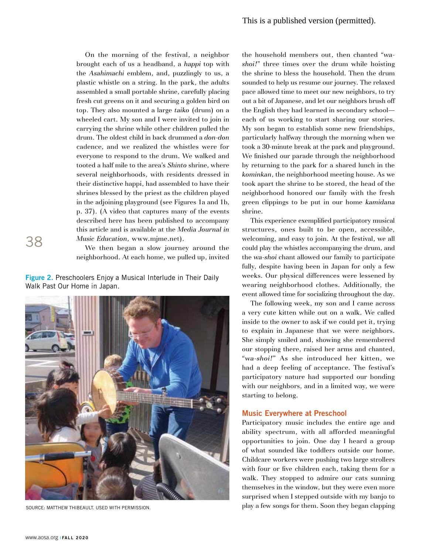On the morning of the festival, a neighbor brought each of us a headband, a *happi* top with the *Asahimachi* emblem, and, puzzlingly to us, a plastic whistle on a string. In the park, the adults assembled a small portable shrine, carefully placing fresh cut greens on it and securing a golden bird on top. They also mounted a large *taiko* (drum) on a wheeled cart. My son and I were invited to join in carrying the shrine while other children pulled the drum. The oldest child in back drummed a *don-don*  cadence, and we realized the whistles were for everyone to respond to the drum. We walked and tooted a half mile to the area's *Shinto* shrine, where several neighborhoods, with residents dressed in their distinctive happi, had assembled to have their shrines blessed by the priest as the children played in the adjoining playground (see Figures 1a and 1b, p. 37). (A video that captures many of the events described here has been published to accompany this article and is available at the *Media Journal in Music Education,* www.mjme.net).

We then began a slow journey around the neighborhood. At each home, we pulled up, invited

**Figure 2.** Preschoolers Enjoy a Musical Interlude in Their Daily Walk Past Our Home in Japan.



SOURCE: MATTHEW THIBEAULT. USED WITH PERMISSION.

the household members out, then chanted "*washoi!*" three times over the drum while hoisting the shrine to bless the household. Then the drum sounded to help us resume our journey. The relaxed pace allowed time to meet our new neighbors, to try out a bit of Japanese, and let our neighbors brush off the English they had learned in secondary school each of us working to start sharing our stories. My son began to establish some new friendships, particularly halfway through the morning when we took a 30-minute break at the park and playground. We finished our parade through the neighborhood by returning to the park for a shared lunch in the *kominkan*, the neighborhood meeting house. As we took apart the shrine to be stored, the head of the neighborhood honored our family with the fresh green clippings to be put in our home *kamidana* shrine.

This experience exemplified participatory musical structures, ones built to be open, accessible, welcoming, and easy to join. At the festival, we all could play the whistles accompanying the drum, and the *wa-shoi* chant allowed our family to participate fully, despite having been in Japan for only a few weeks. Our physical differences were lessened by wearing neighborhood clothes. Additionally, the event allowed time for socializing throughout the day.

The following week, my son and I came across a very cute kitten while out on a walk. We called inside to the owner to ask if we could pet it, trying to explain in Japanese that we were neighbors. She simply smiled and, showing she remembered our stopping there, raised her arms and chanted, "*wa-shoi!*" As she introduced her kitten, we had a deep feeling of acceptance. The festival's participatory nature had supported our bonding with our neighbors, and in a limited way, we were starting to belong.

#### **Music Everywhere at Preschool**

Participatory music includes the entire age and ability spectrum, with all afforded meaningful opportunities to join. One day I heard a group of what sounded like toddlers outside our home. Childcare workers were pushing two large strollers with four or five children each, taking them for a walk. They stopped to admire our cats sunning themselves in the window, but they were even more surprised when I stepped outside with my banjo to play a few songs for them. Soon they began clapping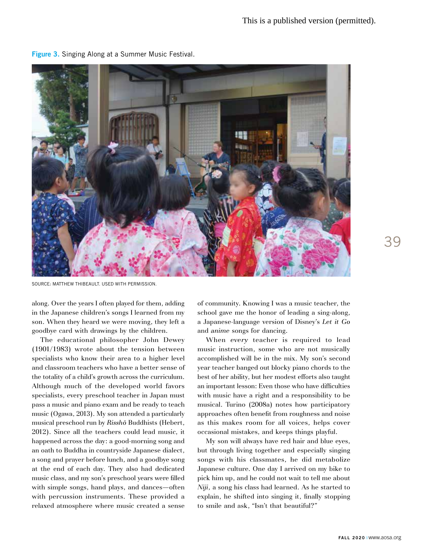

**Figure 3.** Singing Along at a Summer Music Festival.

SOURCE: MATTHEW THIBEAULT. USED WITH PERMISSION.

along. Over the years I often played for them, adding in the Japanese children's songs I learned from my son. When they heard we were moving, they left a goodbye card with drawings by the children.

The educational philosopher John Dewey (1901/1983) wrote about the tension between specialists who know their area to a higher level and classroom teachers who have a better sense of the totality of a child's growth across the curriculum. Although much of the developed world favors specialists, every preschool teacher in Japan must pass a music and piano exam and be ready to teach music (Ogawa, 2013). My son attended a particularly musical preschool run by *Risshō* Buddhists (Hebert, 2012). Since all the teachers could lead music, it happened across the day: a good-morning song and an oath to Buddha in countryside Japanese dialect, a song and prayer before lunch, and a goodbye song at the end of each day. They also had dedicated music class, and my son's preschool years were filled with simple songs, hand plays, and dances—often with percussion instruments. These provided a relaxed atmosphere where music created a sense

of community. Knowing I was a music teacher, the school gave me the honor of leading a sing-along, a Japanese-language version of Disney's *Let it Go* and *anime* songs for dancing.

When *every* teacher is required to lead music instruction, some who are not musically accomplished will be in the mix. My son's second year teacher banged out blocky piano chords to the best of her ability, but her modest efforts also taught an important lesson: Even those who have difficulties with music have a right and a responsibility to be musical. Turino (2008a) notes how participatory approaches often benefit from roughness and noise as this makes room for all voices, helps cover occasional mistakes, and keeps things playful.

My son will always have red hair and blue eyes, but through living together and especially singing songs with his classmates, he did metabolize Japanese culture. One day I arrived on my bike to pick him up, and he could not wait to tell me about *Niji*, a song his class had learned. As he started to explain, he shifted into singing it, finally stopping to smile and ask, "Isn't that beautiful?"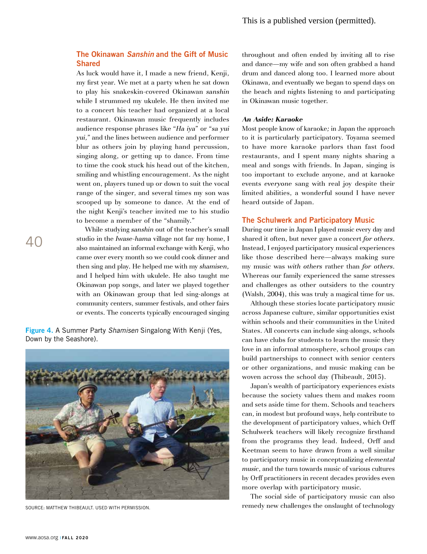# **The Okinawan** *Sanshin* **and the Gift of Music Shared**

As luck would have it, I made a new friend, Kenji, my first year. We met at a party when he sat down to play his snakeskin-covered Okinawan *sanshin* while I strummed my ukulele. He then invited me to a concert his teacher had organized at a local restaurant. Okinawan music frequently includes audience response phrases like "*Ha iya*" or "*sa yui yui,*" and the lines between audience and performer blur as others join by playing hand percussion, singing along, or getting up to dance. From time to time the cook stuck his head out of the kitchen, smiling and whistling encouragement. As the night went on, players tuned up or down to suit the vocal range of the singer, and several times my son was scooped up by someone to dance. At the end of the night Kenji's teacher invited me to his studio to become a member of the "shamily."

While studying *sanshin* out of the teacher's small studio in the *Iwase-hama* village not far my home, I also maintained an informal exchange with Kenji, who came over every month so we could cook dinner and then sing and play. He helped me with my *shamisen,* and I helped him with ukulele. He also taught me Okinawan pop songs, and later we played together with an Okinawan group that led sing-alongs at community centers, summer festivals, and other fairs or events. The concerts typically encouraged singing

**Figure 4.** A Summer Party *Shamisen* Singalong With Kenji (Yes, Down by the Seashore).



SOURCE: MATTHEW THIBEAULT. USED WITH PERMISSION.

throughout and often ended by inviting all to rise and dance—my wife and son often grabbed a hand drum and danced along too. I learned more about Okinawa, and eventually we began to spend days on the beach and nights listening to and participating in Okinawan music together.

#### *An Aside: Karaoke*

Most people know of karaoke*;* in Japan the approach to it is particularly participatory. Toyama seemed to have more karaoke parlors than fast food restaurants, and I spent many nights sharing a meal and songs with friends. In Japan, singing is too important to exclude anyone, and at karaoke events *everyone* sang with real joy despite their limited abilities, a wonderful sound I have never heard outside of Japan.

#### **The Schulwerk and Participatory Music**

During our time in Japan I played music every day and shared it often, but never gave a concert *for others*. Instead, I enjoyed participatory musical experiences like those described here—always making sure my music was *with others* rather than *for others*. Whereas our family experienced the same stresses and challenges as other outsiders to the country (Walsh, 2004), this was truly a magical time for us.

Although these stories locate participatory music across Japanese culture, similar opportunities exist within schools and their communities in the United States. All concerts can include sing-alongs, schools can have clubs for students to learn the music they love in an informal atmosphere, school groups can build partnerships to connect with senior centers or other organizations, and music making can be woven across the school day (Thibeault, 2015).

Japan's wealth of participatory experiences exists because the society values them and makes room and sets aside time for them. Schools and teachers can, in modest but profound ways, help contribute to the development of participatory values, which Orff Schulwerk teachers will likely recognize firsthand from the programs they lead. Indeed, Orff and Keetman seem to have drawn from a well similar to participatory music in conceptualizing *elemental music*, and the turn towards music of various cultures by Orff practitioners in recent decades provides even more overlap with participatory music.

The social side of participatory music can also remedy new challenges the onslaught of technology